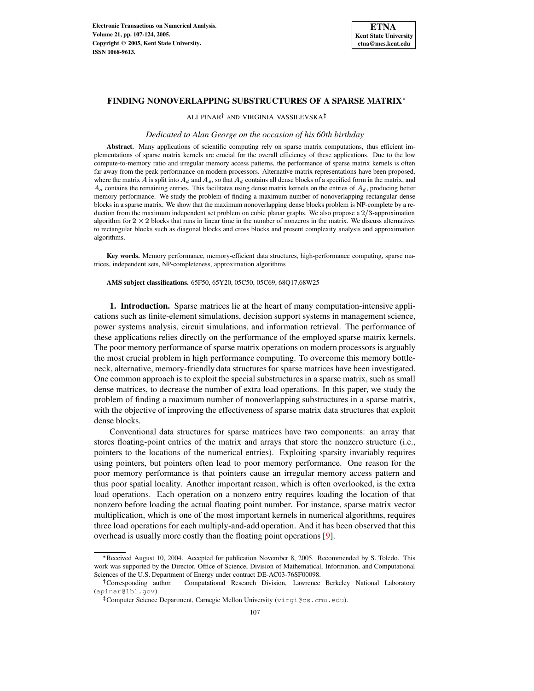

ALI PINAR<sup>†</sup> AND VIRGINIA VASSILEVSKA

#### *Dedicated to Alan George on the occasion of his 60th birthday*

**Abstract.** Many applications of scientific computing rely on sparse matrix computations, thus efficient implementations of sparse matrix kernels are crucial for the overall efficiency of these applications. Due to the low compute-to-memory ratio and irregular memory access patterns, the performance of sparse matrix kernels is often far away from the peak performance on modern processors. Alternative matrix representations have been proposed, where the matrix A is split into  $A_d$  and  $A_s$ , so that  $A_d$  contains all dense blocks of a specified form in the matrix, and  $A_s$  contains the remaining entries. This facilitates using dense matrix kernels on the entries of  $A_d$ , producing better memory performance. We study the problem of finding a maximum number of nonoverlapping rectangular dense blocks in a sparse matrix. We show that the maximum nonoverlapping dense blocks problem is NP-complete by a reduction from the maximum independent set problem on cubic planar graphs. We also propose a  $2/3$ -approximation algorithm for  $2 \times 2$  blocks that runs in linear time in the number of nonzeros in the matrix. We discuss alternatives to rectangular blocks such as diagonal blocks and cross blocks and present complexity analysis and approximation algorithms.

**Key words.** Memory performance, memory-efficient data structures, high-performance computing, sparse matrices, independent sets, NP-completeness, approximation algorithms

**AMS subject classifications.** 65F50, 65Y20, 05C50, 05C69, 68Q17,68W25

**1. Introduction.** Sparse matrices lie at the heart of many computation-intensive applications such as finite-element simulations, decision support systems in management science, power systems analysis, circuit simulations, and information retrieval. The performance of these applications relies directly on the performance of the employed sparse matrix kernels. The poor memory performance of sparse matrix operations on modern processors is arguably the most crucial problem in high performance computing. To overcome this memory bottleneck, alternative, memory-friendly data structures for sparse matrices have been investigated. One common approach is to exploit the special substructures in a sparse matrix, such as small dense matrices, to decrease the number of extra load operations. In this paper, we study the problem of finding a maximum number of nonoverlapping substructures in a sparse matrix, with the objective of improving the effectiveness of sparse matrix data structures that exploit dense blocks.

Conventional data structures for sparse matrices have two components: an array that stores floating-point entries of the matrix and arrays that store the nonzero structure (i.e., pointers to the locations of the numerical entries). Exploiting sparsity invariably requires using pointers, but pointers often lead to poor memory performance. One reason for the poor memory performance is that pointers cause an irregular memory access pattern and thus poor spatial locality. Another important reason, which is often overlooked, is the extra load operations. Each operation on a nonzero entry requires loading the location of that nonzero before loading the actual floating point number. For instance, sparse matrix vector multiplication, which is one of the most important kernels in numerical algorithms, requires three load operations for each multiply-and-add operation. And it has been observed that this overhead is usually more costly than the floating point operations [\[9\]](#page-16-0).

<sup>\*</sup> Received August 10, 2004. Accepted for publication November 8, 2005. Recommended by S. Toledo. This work was supported by the Director, Office of Science, Division of Mathematical, Information, and Computational Sciences of the U.S. Department of Energy under contract DE-AC03-76SF00098.  $\mathbf{r}$  and  $\mathbf{r}$  are all  $\mathbf{r}$  and  $\mathbf{r}$ 

Computational Research Division, Lawrence Berkeley National Laboratory (apinar@lbl.gov).

<sup>&</sup>lt;sup>‡</sup>Computer Science Department, Carnegie Mellon University (virgi@cs.cmu.edu).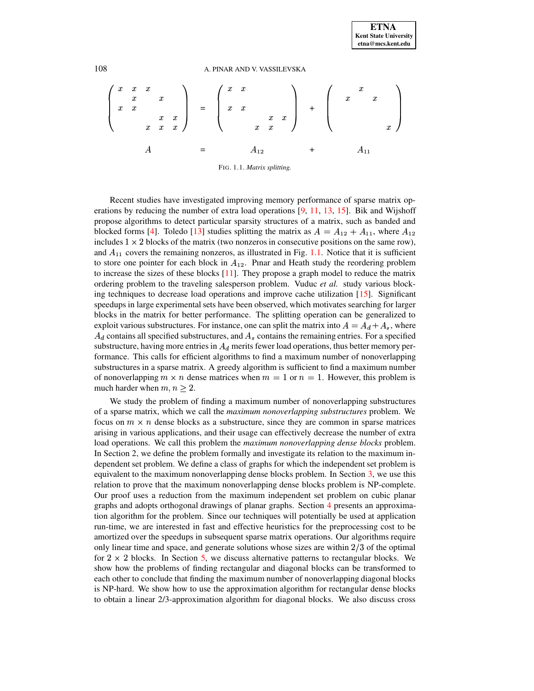#### 108 A. PINAR AND V. VASSILEVSKA

$$
\begin{pmatrix}\nx & x & x \\
x & x \\
x & x & x \\
x & x & x\n\end{pmatrix} = \begin{pmatrix}\nx & x \\
x & x \\
x & x\n\end{pmatrix} + \begin{pmatrix}\nx & x \\
x & x \\
x & x\n\end{pmatrix}
$$

#### <span id="page-1-0"></span>FIG. 1.1. *Matrix splitting.*

Recent studies have investigated improving memory performance of sparse matrix operations by reducing the number of extra load operations [\[9,](#page-16-0) [11,](#page-17-0) [13,](#page-17-1) [15\]](#page-17-2). Bik and Wijshoff propose algorithms to detect particular sparsity structures of a matrix, such as banded and blocked forms [\[4\]](#page-16-1). Toledo [\[13\]](#page-17-1) studies splitting the matrix as  $A = A_{12} + A_{11}$ , where  $A_{12}$ includes  $1 \times 2$  blocks of the matrix (two nonzeros in consecutive positions on the same row), and  $A_{11}$  covers the remaining nonzeros, as illustrated in Fig. [1.1.](#page-1-0) Notice that it is sufficient to store one pointer for each block in  $A_{12}$ . Pinar and Heath study the reordering problem to increase the sizes of these blocks [\[11\]](#page-17-0). They propose a graph model to reduce the matrix ordering problem to the traveling salesperson problem. Vuduc *et al.* study various blocking techniques to decrease load operations and improve cache utilization [\[15\]](#page-17-2). Significant speedups in large experimental sets have been observed, which motivates searching for larger blocks in the matrix for better performance. The splitting operation can be generalized to exploit various substructures. For instance, one can split the matrix into  $A = A_d + A_s$ , where  $A_d$  contains all specified substructures, and  $A_s$  contains the remaining entries. For a specified substructure, having more entries in  $A_d$  merits fewer load operations, thus better memory performance. This calls for efficient algorithms to find a maximum number of nonoverlapping substructures in a sparse matrix. A greedy algorithm is sufficient to find a maximum number of nonoverlapping  $m \times n$  dense matrices when  $m = 1$  or  $n = 1$ . However, this problem is much harder when  $m, n \geq 2$ .

We study the problem of finding a maximum number of nonoverlapping substructures of a sparse matrix, which we call the *maximum nonoverlapping substructures* problem. We focus on  $m \times n$  dense blocks as a substructure, since they are common in sparse matrices arising in various applications, and their usage can effectively decrease the number of extra load operations. We call this problem the *maximum nonoverlapping dense blocks* problem. In Section 2, we define the problem formally and investigate its relation to the maximum independent set problem. We define a class of graphs for which the independent set problem is equivalent to the maximum nonoverlapping dense blocks problem. In Section [3,](#page-5-0) we use this relation to prove that the maximum nonoverlapping dense blocks problem is NP-complete. Our proof uses a reduction from the maximum independent set problem on cubic planar graphs and adopts orthogonal drawings of planar graphs. Section [4](#page-8-0) presents an approximation algorithm for the problem. Since our techniques will potentially be used at application run-time, we are interested in fast and effective heuristics for the preprocessing cost to be amortized over the speedups in subsequent sparse matrix operations. Our algorithms require only linear time and space, and generate solutions whose sizes are within  $2/3$  of the optimal for  $2 \times 2$  blocks. In Section [5,](#page-13-0) we discuss alternative patterns to rectangular blocks. We show how the problems of finding rectangular and diagonal blocks can be transformed to each other to conclude that finding the maximum number of nonoverlapping diagonal blocks is NP-hard. We show how to use the approximation algorithm for rectangular dense blocks to obtain a linear 2/3-approximation algorithm for diagonal blocks. We also discuss cross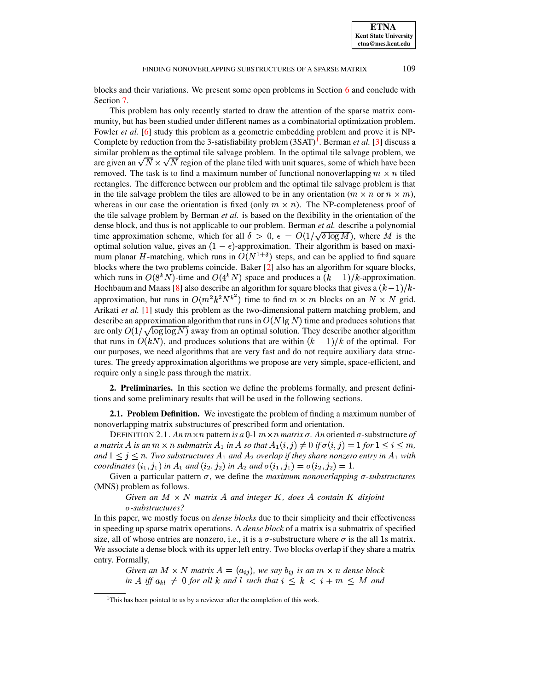blocks and their variations. We present some open problems in Section [6](#page-15-0) and conclude with Section [7.](#page-16-2)

This problem has only recently started to draw the attention of the sparse matrix community, but has been studied under different names as a combinatorial optimization problem. Fowler *et al.* [\[6\]](#page-16-3) study this problem as a geometric embedding problem and prove it is NP-Complete by reduction from the 3-satisfiability problem (3SAT)<sup>[1](#page-2-0)</sup>. Berman *et al.* [\[3\]](#page-16-4) discuss a similar problem as the optimal tile salvage problem. In the optimal tile salvage problem, we are given an  $\sqrt{N} \times \sqrt{N}$  region of the plane tiled with unit squares, some of which have been removed. The task is to find a maximum number of functional nonoverlapping  $m \times n$  tiled rectangles. The difference between our problem and the optimal tile salvage problem is that in the tile salvage problem the tiles are allowed to be in any orientation  $(m \times n \text{ or } n \times m)$ , whereas in our case the orientation is fixed (only  $m \times n$ ). The NP-completeness proof of the tile salvage problem by Berman *et al.* is based on the flexibility in the orientation of the dense block, and thus is not applicable to our problem. Berman *et al.* describe a polynomial time approximation scheme, which for all  $\delta>0$ ,  $\epsilon=O(1/\sqrt{\delta\log M})$ , where M is the optimal solution value, gives an  $(1 - \epsilon)$ -approximation. Their algorithm is based on maximum planar H-matching, which runs in  $O(N^{1+\delta})$  steps, and can be applied to find square blocks where the two problems coincide. Baker [\[2\]](#page-16-5) also has an algorithm for square blocks, which runs in  $O(8^kN)$ -time and  $O(4^kN)$  space and produces a  $(k - 1)/k$ -approximation. Hochbaum and Maass [\[8\]](#page-16-6) also describe an algorithm for square blocks that gives a  $(k-1)/k$ approximation, but runs in  $O(m^2k^2N^{k^2})$  time to find  $m \times m$  blocks on an  $N \times N$  grid. Arikati *et al.* [\[1\]](#page-16-7) study this problem as the two-dimensional pattern matching problem, and describe an approximation algorithm that runs in  $O(N \lg N)$  time and produces solutions that are only  $O(1/\sqrt{\log \log N})$  away from an optimal solution. They describe another algorithm that runs in  $O(kN)$ , and produces solutions that are within  $(k-1)/k$  of the optimal. For our purposes, we need algorithms that are very fast and do not require auxiliary data structures. The greedy approximation algorithms we propose are very simple, space-efficient, and require only a single pass through the matrix.

**2. Preliminaries.** In this section we define the problems formally, and present definitions and some preliminary results that will be used in the following sections.

**2.1. Problem Definition.** We investigate the problem of finding a maximum number of nonoverlapping matrix substructures of prescribed form and orientation.

DEFINITION 2.1. An  $m \times n$  pattern is a 0-1  $m \times n$  matrix  $\sigma$ . An oriented  $\sigma$ -substructure of *a* matrix A is an  $m \times n$  submatrix  $A_1$  in A so that  $A_1(i,j) \neq 0$  if  $\sigma(i,j) = 1$  for  $1 \leq i \leq m$ , and  $1 \leq j \leq n$ . Two substructures  $A_1$  and  $A_2$  overlap if they share nonzero entry in  $A_1$  with *coordinates*  $(i_1, j_1)$  *in*  $A_1$  *and*  $(i_2, j_2)$  *in*  $A_2$  *and*  $\sigma(i_1, j_1) = \sigma(i_2, j_2) = 1$ .

Given a particular pattern  $\sigma$ , we define the *maximum nonoverlapping*  $\sigma$ -*substructures* (MNS) problem as follows.

*Given an*  $M \times N$  *matrix*  $A$  *and integer*  $K$ *, does*  $A$  *contain*  $K$  *disjoint* <sup>x</sup>*-substructures?*

In this paper, we mostly focus on *dense blocks* due to their simplicity and their effectiveness in speeding up sparse matrix operations. A *dense block* of a matrix is a submatrix of specified size, all of whose entries are nonzero, i.e., it is a  $\sigma$ -substructure where  $\sigma$  is the all 1s matrix. We associate a dense block with its upper left entry. Two blocks overlap if they share a matrix entry. Formally,

*Given an*  $M \times N$  *matrix*  $A = (a_{ij})$ *, we say*  $b_{ij}$  *is an*  $m \times n$  *dense block*  $\int$  *in*  $A$  *iff*  $a_{kl} \neq 0$  *for all*  $k$  *and*  $l$  *such that*  $i \leq k \leq i + m \leq M$  *and* 

<span id="page-2-0"></span><sup>&</sup>lt;sup>1</sup>This has been pointed to us by a reviewer after the completion of this work.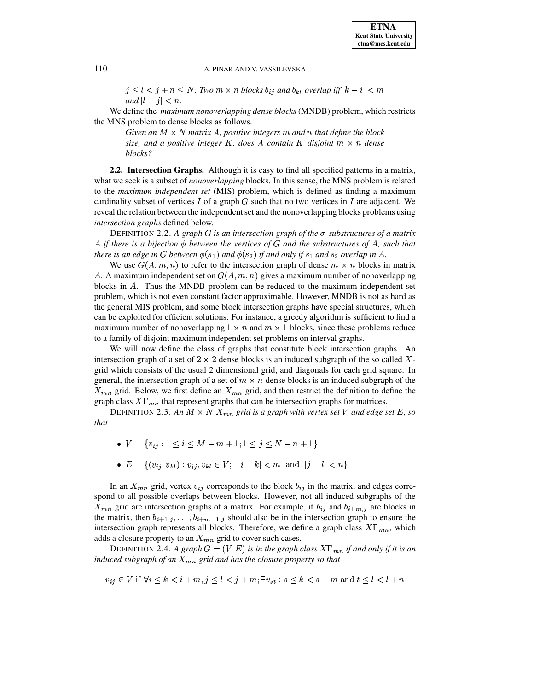$j \leq l < j + n \leq N$ . Two  $m \times n$  blocks  $b_{ij}$  and  $b_{kl}$  overlap iff  $|k - i| < m$ *and*  $|l - j| < n$ .

We define the *maximum nonoverlapping dense blocks* (MNDB) problem, which restricts the MNS problem to dense blocks as follows.

Given an  $M \times N$  matrix A, positive integers  $m$  and  $n$  that define the block *size, and a positive integer*  $K$ *, does*  $A$  *contain*  $K$  *disjoint*  $m \times n$  *dense blocks?*

**2.2. Intersection Graphs.** Although it is easy to find all specified patterns in a matrix, what we seek is a subset of *nonoverlapping* blocks. In this sense, the MNS problem is related to the *maximum independent set* (MIS) problem, which is defined as finding a maximum cardinality subset of vertices  $I$  of a graph  $G$  such that no two vertices in  $I$  are adjacent. We reveal the relation between the independent set and the nonoverlapping blocks problems using *intersection graphs* defined below.

DEFINITION 2.2. A graph G is an intersection graph of the  $\sigma$ -substructures of a matrix *if there is a bijection between the vertices of and the substructures of , such that there* is an edge in G between  $\phi(s_1)$  and  $\phi(s_2)$  if and only if  $s_1$  and  $s_2$  overlap in A.

We use  $G(A, m, n)$  to refer to the intersection graph of dense  $m \times n$  blocks in matrix A. A maximum independent set on  $G(A, m, n)$  gives a maximum number of nonoverlapping blocks in  $A$ . Thus the MNDB problem can be reduced to the maximum independent set problem, which is not even constant factor approximable. However, MNDB is not as hard as the general MIS problem, and some block intersection graphs have special structures, which can be exploited for efficient solutions. For instance, a greedy algorithm is sufficient to find a maximum number of nonoverlapping  $1 \times n$  and  $m \times 1$  blocks, since these problems reduce to a family of disjoint maximum independent set problems on interval graphs.

We will now define the class of graphs that constitute block intersection graphs. An intersection graph of a set of  $2 \times 2$  dense blocks is an induced subgraph of the so called Xgrid which consists of the usual 2 dimensional grid, and diagonals for each grid square. In general, the intersection graph of a set of  $m \times n$  dense blocks is an induced subgraph of the  $X_{mn}$  grid. Below, we first define an  $X_{mn}$  grid, and then restrict the definition to define the graph class  $X\Gamma_{mn}$  that represent graphs that can be intersection graphs for matrices.

DEFINITION 2.3. An  $M \times N X_{mn}$  grid is a graph with vertex set V and edge set E, so *that*

- $V = \{v_{ij} : 1 \le i \le M-m+1; 1 \le j \le N-n+1\}$
- $E = \{(v_{ij}, v_{kl}) : v_{ij}, v_{kl} \in V; \ |i k| < m \text{ and } |j l| < n\}$

In an  $X_{mn}$  grid, vertex  $v_{ij}$  corresponds to the block  $b_{ij}$  in the matrix, and edges correspond to all possible overlaps between blocks. However, not all induced subgraphs of the  $X_{mn}$  grid are intersection graphs of a matrix. For example, if  $b_{ij}$  and  $b_{i+m,j}$  are blocks in the matrix, then  $b_{i+1}, \ldots, b_{i+m-1}, j$  should also be in the intersection graph to ensure the intersection graph represents all blocks. Therefore, we define a graph class  $X\Gamma_{mn}$ , which adds a closure property to an  $X_{mn}$  grid to cover such cases.

DEFINITION 2.4. A graph  $G = (V, E)$  is in the graph class  $X\Gamma_{mn}$  if and only if it is an *induced subgraph of an*  $X_{mn}$  *grid and has the closure property so that* 

$$
v_{ij} \in V \text{ if } \forall i \le k < i+m, j \le l < j+m; \exists v_{st} : s \le k < s+m \text{ and } t \le l < l+n
$$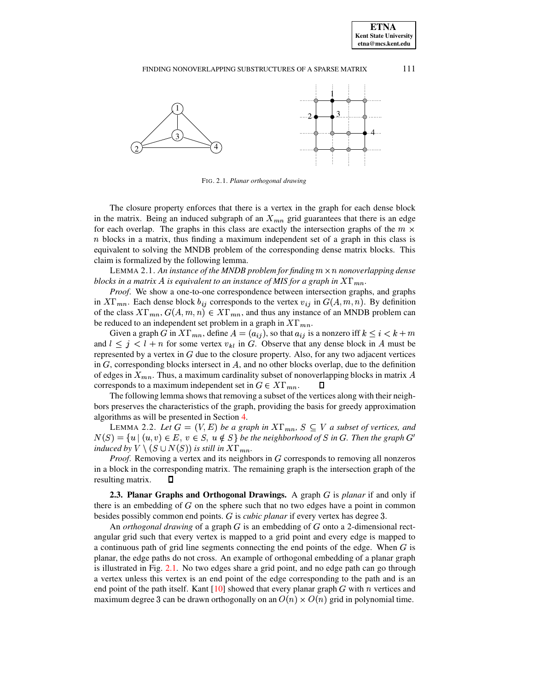

<span id="page-4-0"></span>FIG. 2.1. *Planar orthogonal drawing*

The closure property enforces that there is a vertex in the graph for each dense block in the matrix. Being an induced subgraph of an  $X_{mn}$  grid guarantees that there is an edge for each overlap. The graphs in this class are exactly the intersection graphs of the  $m \times$  $n$  blocks in a matrix, thus finding a maximum independent set of a graph in this class is equivalent to solving the MNDB problem of the corresponding dense matrix blocks. This claim is formalized by the following lemma.

<span id="page-4-2"></span>LEMMA 2.1. An *instance of the MNDB problem for finding*  $m \times n$  *nonoverlapping dense blocks in a matrix A is equivalent to an instance of MIS for a graph in*  $X\Gamma_{mn}$ *.* 

*Proof*. We show a one-to-one correspondence between intersection graphs, and graphs in  $X\Gamma_{mn}$ . Each dense block  $b_{ij}$  corresponds to the vertex  $v_{ij}$  in  $G(A,m,n)$ . By definition of the class  $X\Gamma_{mn}$ ,  $G(A, m, n) \in X\Gamma_{mn}$ , and thus any instance of an MNDB problem can be reduced to an independent set problem in a graph in  $X\Gamma_{mn}$ .

Given a graph G in  $X\Gamma_{mn}$ , define  $A = (a_{ij})$ , so that  $a_{ij}$  is a nonzero iff  $k \leq i < k+m$ and  $l \leq j \leq l + n$  for some vertex  $v_{kl}$  in G. Observe that any dense block in A must be represented by a vertex in  $G$  due to the closure property. Also, for any two adjacent vertices in  $G$ , corresponding blocks intersect in  $A$ , and no other blocks overlap, due to the definition of edges in  $X_{mn}$ . Thus, a maximum cardinality subset of nonoverlapping blocks in matrix A corresponds to a maximum independent set in  $G \in X\Gamma_{mn}$ .  $\Box$ 

The following lemma shows that removing a subset of the vertices along with their neighbors preserves the characteristics of the graph, providing the basis for greedy approximation algorithms as will be presented in Section [4.](#page-8-0)

<span id="page-4-3"></span>LEMMA 2.2. Let  $G = (V, E)$  be a graph in  $X\Gamma_{mn}$ ,  $S \subseteq V$  a subset of vertices, and  $N(S) = \{u \mid (u, v) \in E, v \in S, u \notin S\}$  be the neighborhood of S in G. Then the graph  $G'$ *induced* by  $V \setminus (S \cup N(S))$  *is still in*  $X\Gamma_{mn}$ *.* 

*Proof.* Removing a vertex and its neighbors in G corresponds to removing all nonzeros in a block in the corresponding matrix. The remaining graph is the intersection graph of the resulting matrix.  $\Box$ 

<span id="page-4-1"></span>**2.3. Planar Graphs and Orthogonal Drawings.** A graph G is *planar* if and only if there is an embedding of  $G$  on the sphere such that no two edges have a point in common besides possibly common end points. G is *cubic planar* if every vertex has degree 3.

An *orthogonal drawing* of a graph  $G$  is an embedding of  $G$  onto a 2-dimensional rectangular grid such that every vertex is mapped to a grid point and every edge is mapped to a continuous path of grid line segments connecting the end points of the edge. When  $G$  is planar, the edge paths do not cross. An example of orthogonal embedding of a planar graph is illustrated in Fig. [2.1.](#page-4-0) No two edges share a grid point, and no edge path can go through a vertex unless this vertex is an end point of the edge corresponding to the path and is an end point of the path itself. Kant  $[10]$  showed that every planar graph G with n vertices and maximum degree 3 can be drawn orthogonally on an  $O(n) \times O(n)$  grid in polynomial time.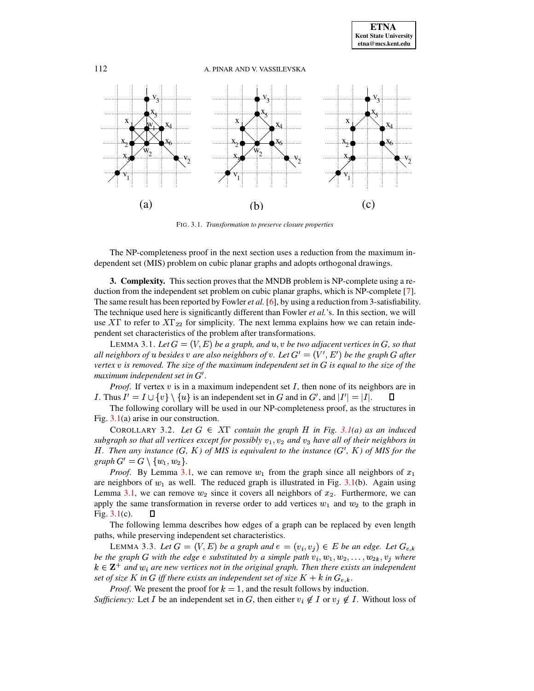

<span id="page-5-2"></span><span id="page-5-1"></span>FIG. 3.1. *Transformation to preserve closure properties*

The NP-completeness proof in the next section uses a reduction from the maximum independent set (MIS) problem on cubic planar graphs and adopts orthogonal drawings.

<span id="page-5-0"></span>**3. Complexity.** This section provesthat the MNDB problem is NP-complete using a reduction from the independent set problem on cubic planar graphs, which is NP-complete [\[7\]](#page-16-9). The same result has been reported by Fowler *et al.* [\[6\]](#page-16-3), by using a reduction from 3-satisfiability. The technique used here is significantly different than Fowler *et al.*'s. In this section, we will use  $X\Gamma$  to refer to  $X\Gamma_{22}$  for simplicity. The next lemma explains how we can retain independent set characteristics of the problem after transformations.

LEMMA 3.1. Let  $G = (V, E)$  be a graph, and  $u, v$  be two adjacent vertices in  $G$ , so that  $a$ ll neighbors of  $u$  besides  $v$  are also neighbors of  $v$ . Let  $G' = (V', E')$  be the graph  $G$  after *vertex* ¨ *is removed. The size of the maximum independent set in is equal to the size of the*  $maximum$  *independent set in*  $G'$ .

*Proof.* If vertex  $v$  is in a maximum independent set  $I$ , then none of its neighbors are in I. Thus  $I' = I \cup \{v\} \setminus \{u\}$  is an independent set in G and in G', and  $|I'| = |I|$ .

The following corollary will be used in our NP-completeness proof, as the structures in Fig. [3.1\(](#page-5-1)a) arise in our construction.

<span id="page-5-3"></span>COROLLARY 3.2. Let  $G \in XT$  contain the graph  $H$  in Fig. [3.1\(](#page-5-1)a) as an induced *subgraph so that all vertices except for possibly*  $v_1$ *,*  $v_2$  *and*  $v_3$  *have all of their neighbors in* H. Then any instance  $(G, K)$  of MIS is equivalent to the instance  $(G', K)$  of MIS for the  $graph G' = G \setminus \{w_1, w_2\}.$ 

*Proof.* By Lemma [3.1,](#page-5-2) we can remove  $w_1$  from the graph since all neighbors of  $x_1$ are neighbors of  $w_1$  as well. The reduced graph is illustrated in Fig. [3.1\(](#page-5-1)b). Again using Lemma [3.1,](#page-5-2) we can remove  $w_2$  since it covers all neighbors of  $x_2$ . Furthermore, we can apply the same transformation in reverse order to add vertices  $w_1$  and  $w_2$  to the graph in Fig. [3.1\(](#page-5-1)c). □

The following lemma describes how edges of a graph can be replaced by even length paths, while preserving independent set characteristics.

<span id="page-5-4"></span>LEMMA 3.3. Let  $G = (V, E)$  be a graph and  $e = (v_i, v_j) \in E$  be an edge. Let  $G_{e,k}$ *be* the graph G with the edge  $e$  substituted by a simple path  $v_i, w_1, w_2, \ldots, w_{2k}, v_j$  where  $k \in \mathbf{Z}^+$  and  $w_i$  are new vertices not in the original graph. Then there exists an independent *set of size*  $K$  *in*  $G$  *iff there exists an independent set of size*  $K + k$  *in*  $G_{e,k}$ *.* 

*Proof.* We present the proof for  $k = 1$ , and the result follows by induction. *Sufficiency:* Let *I* be an independent set in *G*, then either  $v_i \notin I$  or  $v_j \notin I$ . Without loss of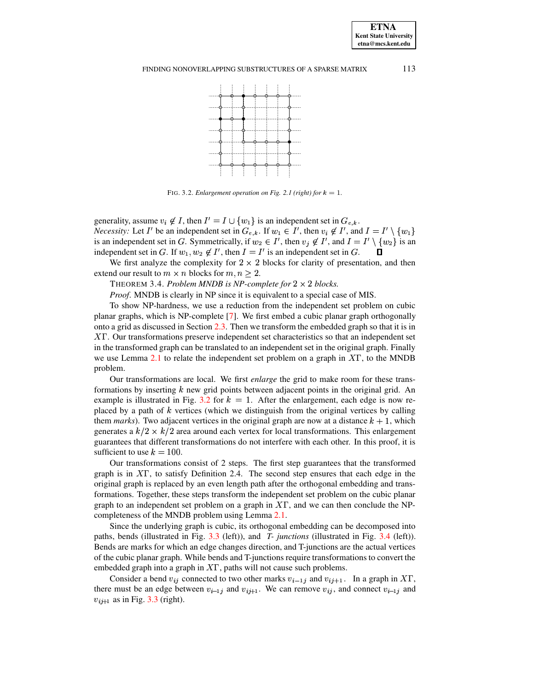

<span id="page-6-1"></span><span id="page-6-0"></span>FIG. 3.2. *Enlargement operation on Fig. 2.1 (right) for*  $k = 1$ *.* 

generality, assume  $v_i \notin I$ , then  $I' = I \cup \{w_1\}$  is an independent set in  $G_{e,k}$ . *Necessity:* Let I' be an independent set in  $G_{e,k}$ . If  $w_1 \in I'$ , then  $v_i \notin I'$ , and  $I = I' \setminus \{w_1\}$ is an independent set in G. Symmetrically, if  $w_2 \in I'$ , then  $v_j \notin I'$ , and  $I = I' \setminus \{w_2\}$  is an independent set in G. If  $w_1, w_2 \notin I'$ , then  $I = I'$  is an independent set in G.  $\Box$ 

We first analyze the complexity for  $2 \times 2$  blocks for clarity of presentation, and then extend our result to  $m \times n$  blocks for  $m, n \geq 2$ .

THEOREM 3.4. *Problem MNDB* is *NP-complete for*  $2 \times 2$  *blocks.* 

*Proof*. MNDB is clearly in NP since it is equivalent to a special case of MIS.

To show NP-hardness, we use a reduction from the independent set problem on cubic planar graphs, which is NP-complete [\[7\]](#page-16-9). We first embed a cubic planar graph orthogonally onto a grid as discussed in Section [2.3.](#page-4-1) Then we transform the embedded graph so that it is in  $X\Gamma$ . Our transformations preserve independent set characteristics so that an independent set in the transformed graph can be translated to an independent set in the original graph. Finally we use Lemma [2.1](#page-4-2) to relate the independent set problem on a graph in  $XT$ , to the MNDB problem.

Our transformations are local. We first *enlarge* the grid to make room for these transformations by inserting  $k$  new grid points between adjacent points in the original grid. An example is illustrated in Fig. [3.2](#page-6-0) for  $k = 1$ . After the enlargement, each edge is now replaced by a path of  $k$  vertices (which we distinguish from the original vertices by calling them *marks*). Two adjacent vertices in the original graph are now at a distance  $k + 1$ , which generates a  $k/2 \times k/2$  area around each vertex for local transformations. This enlargement guarantees that different transformations do not interfere with each other. In this proof, it is sufficient to use  $k = 100$ .

Our transformations consist of 2 steps. The first step guarantees that the transformed graph is in  $XT$ , to satisfy Definition 2.4. The second step ensures that each edge in the original graph is replaced by an even length path after the orthogonal embedding and transformations. Together, these steps transform the independent set problem on the cubic planar graph to an independent set problem on a graph in  $XT$ , and we can then conclude the NPcompleteness of the MNDB problem using Lemma [2.1.](#page-4-2)

Since the underlying graph is cubic, its orthogonal embedding can be decomposed into paths, bends (illustrated in Fig. [3.3](#page-7-0) (left)), and *T- junctions* (illustrated in Fig. [3.4](#page-7-1) (left)). Bends are marks for which an edge changes direction, and T-junctions are the actual vertices of the cubic planar graph. While bends and T-junctions require transformations to convert the embedded graph into a graph in  $X\Gamma$ , paths will not cause such problems.

Consider a bend  $v_{ij}$  connected to two other marks  $v_{i-1j}$  and  $v_{ij+1}$ . In a graph in XT, there must be an edge between  $v_{i-1j}$  and  $v_{i+1}$ . We can remove  $v_{ij}$ , and connect  $v_{i-1j}$  and  $v_{i,j+1}$  as in Fig. [3.3](#page-7-0) (right).

**ETNA Kent State University etna@mcs.kent.edu**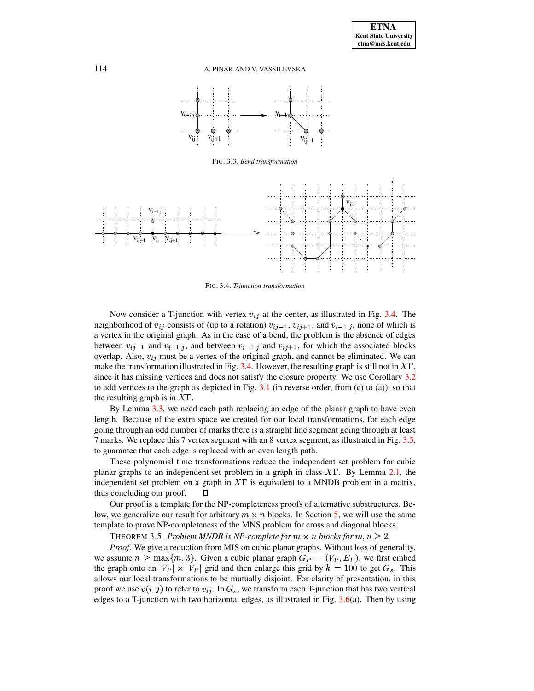

<span id="page-7-0"></span>FIG. 3.3. *Bend transformation*



<span id="page-7-1"></span>FIG. 3.4. *T-junction transformation*

Now consider a T-junction with vertex  $v_{ij}$  at the center, as illustrated in Fig. [3.4.](#page-7-1) The neighborhood of  $v_{ij}$  consists of (up to a rotation)  $v_{ij-1}$ ,  $v_{ij+1}$ , and  $v_{i-1,j}$ , none of which is a vertex in the original graph. As in the case of a bend, the problem is the absence of edges between  $v_{i,j-1}$  and  $v_{i-1,j}$ , and between  $v_{i-1,j}$  and  $v_{i,j+1}$ , for which the associated blocks overlap. Also,  $v_{ij}$  must be a vertex of the original graph, and cannot be eliminated. We can make the transformation illustrated in Fig. [3.4.](#page-7-1) However, the resulting graph is still not in  $XT$ , since it has missing vertices and does not satisfy the closure property. We use Corollary [3.2](#page-5-3) to add vertices to the graph as depicted in Fig.  $3.1$  (in reverse order, from (c) to (a)), so that the resulting graph is in  $X\Gamma$ .

By Lemma [3.3,](#page-5-4) we need each path replacing an edge of the planar graph to have even length. Because of the extra space we created for our local transformations, for each edge going through an odd number of marks there is a straight line segment going through at least 7 marks. We replace this 7 vertex segment with an 8 vertex segment, as illustrated in Fig. [3.5,](#page-8-1) to guarantee that each edge is replaced with an even length path.

These polynomial time transformations reduce the independent set problem for cubic planar graphs to an independent set problem in a graph in class  $X\Gamma$ . By Lemma [2.1,](#page-4-2) the independent set problem on a graph in  $X\Gamma$  is equivalent to a MNDB problem in a matrix, thus concluding our proof. П

Our proof is a template for the NP-completeness proofs of alternative substructures. Below, we generalize our result for arbitrary  $m \times n$  blocks. In Section [5,](#page-13-0) we will use the same template to prove NP-completeness of the MNS problem for cross and diagonal blocks.

THEOREM 3.5. *Problem MNDB* is *NP-complete for*  $m \times n$  *blocks for*  $m, n \geq 2$ .

*Proof*. We give a reduction from MIS on cubic planar graphs. Without loss of generality, we assume  $n \ge \max\{m, 3\}$ . Given a cubic planar graph  $G_P = (V_P, E_P)$ , we first embed the graph onto an  $|V_P| \times |V_P|$  grid and then enlarge this grid by  $k = 100$  to get  $G_s$ . This allows our local transformations to be mutually disjoint. For clarity of presentation, in this proof we use  $v(i, j)$  to refer to  $v_{ij}$ . In  $G_s$ , we transform each T-junction that has two vertical edges to a T-junction with two horizontal edges, as illustrated in Fig.  $3.6(a)$  $3.6(a)$ . Then by using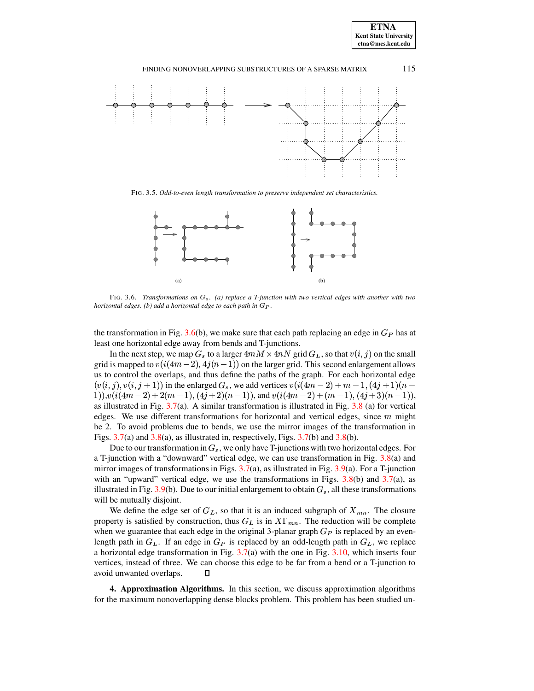



<span id="page-8-1"></span>FIG. 3.5. *Odd-to-even length transformation to preserve independent set characteristics.*



<span id="page-8-2"></span>FIG. 3.6. *Transformations on*  $G_8$ . (a) *replace* a *T*-junction with two vertical edges with another with two *horizontal edges. (b) add a horizontal edge to each path in*  $G_P$ *.* 

the transformation in Fig. [3.6\(](#page-8-2)b), we make sure that each path replacing an edge in  $G_P$  has at least one horizontal edge away from bends and T-junctions.

In the next step, we map  $G_s$  to a larger  $4mM \times 4nN$  grid  $G_L$ , so that  $v(i, j)$  on the small grid is mapped to  $v(i(4m-2), 4j(n-1))$  on the larger grid. This second enlargement allows us to control the overlaps, and thus define the paths of the graph. For each horizontal edge  $(v(i, j), v(i, j + 1))$  in the enlarged  $G_s$ , we add vertices  $v(i(4m - 2) + m - 1, (4j + 1)(n - 1)$  $(i(1(m-2)+2(m-1), (4j+2)(n-1))$ , and  $v(i(4m-2)+(m-1), (4j+3)(n-1))$ , as illustrated in Fig. [3.7\(](#page-9-0)a). A similar transformation is illustrated in Fig. [3.8](#page-9-1) (a) for vertical edges. We use different transformations for horizontal and vertical edges, since  $m$  might be 2. To avoid problems due to bends, we use the mirror images of the transformation in Figs.  $3.7(a)$  $3.7(a)$  and  $3.8(a)$  $3.8(a)$ , as illustrated in, respectively, Figs.  $3.7(b)$  and  $3.8(b)$ .

Due to our transformation in  $G_s$ , we only have T-junctions with two horizontal edges. For a T-junction with a "downward" vertical edge, we can use transformation in Fig. [3.8\(](#page-9-1)a) and mirror images of transformations in Figs. [3.7\(](#page-9-0)a), as illustrated in Fig. [3.9\(](#page-9-2)a). For a T-junction with an "upward" vertical edge, we use the transformations in Figs.  $3.8(b)$  $3.8(b)$  and  $3.7(a)$  $3.7(a)$ , as illustrated in Fig. [3.9\(](#page-9-2)b). Due to our initial enlargement to obtain  $G_s$ , all these transformations will be mutually disjoint.

We define the edge set of  $G_L$ , so that it is an induced subgraph of  $X_{mn}$ . The closure property is satisfied by construction, thus  $G_L$  is in  $X\Gamma_{mn}$ . The reduction will be complete when we guarantee that each edge in the original 3-planar graph  $G_P$  is replaced by an evenlength path in  $G_L$ . If an edge in  $G_P$  is replaced by an odd-length path in  $G_L$ , we replace a horizontal edge transformation in Fig. [3.7\(](#page-9-0)a) with the one in Fig. [3.10,](#page-9-3) which inserts four vertices, instead of three. We can choose this edge to be far from a bend or a T-junction to avoid unwanted overlaps.  $\Box$ 

<span id="page-8-0"></span>**4. Approximation Algorithms.** In this section, we discuss approximation algorithms for the maximum nonoverlapping dense blocks problem. This problem has been studied un-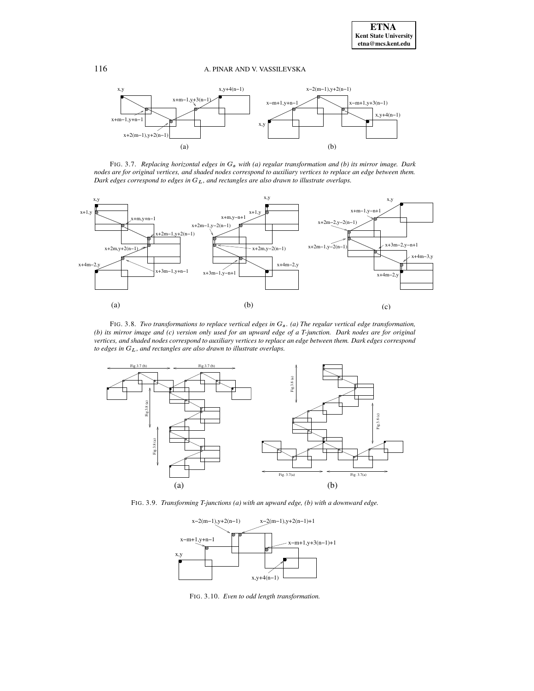

<span id="page-9-0"></span>FIG. 3.7. *Replacing horizontal edges in* á *with (a) regular transformation and (b) its mirror image. Dark* nodes are for original vertices, and shaded nodes correspond to auxiliary vertices to replace an edge between them. *Dark edges correspond to edges in*  $G<sub>L</sub>$ *, and rectangles are also drawn to illustrate overlaps.* 



<span id="page-9-1"></span>FIG. 3.8. *Two transformations to replace vertical edges in* á *. (a) The regular vertical edge transformation,* (b) its mirror image and (c) version only used for an upward edge of a T-junction. Dark nodes are for original vertices, and shaded nodes correspond to auxiliary vertices to replace an edge between them. Dark edges correspond *to* edges in  $G_L$ , and rectangles are also drawn to illustrate overlaps.



<span id="page-9-2"></span>FIG. 3.9. *Transforming T-junctions (a) with an upward edge, (b) with a downward edge.*



<span id="page-9-3"></span>FIG. 3.10. *Even to odd length transformation.*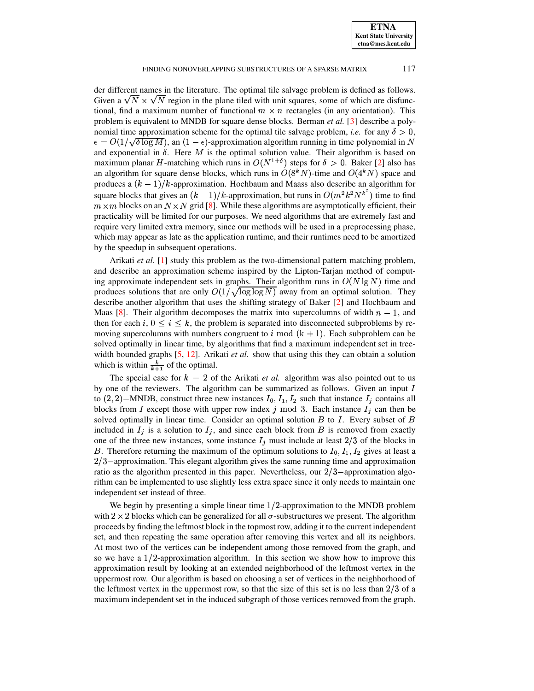#### FINDING NONOVERLAPPING SUBSTRUCTURES OF A SPARSE MATRIX 117

der different names in the literature. The optimal tile salvage problem is defined as follows. Given a  $\sqrt{N} \times \sqrt{N}$  region in the plane tiled with unit squares, some of which are disfunctional, find a maximum number of functional  $m \times n$  rectangles (in any orientation). This problem is equivalent to MNDB for square dense blocks. Berman *et al.* [\[3\]](#page-16-4) describe a polynomial time approximation scheme for the optimal tile salvage problem, *i.e.* for any  $\delta > 0$ ,  $\epsilon = O(1/\sqrt{\delta \log M})$ , an  $(1 - \epsilon)$ -approximation algorithm running in time polynomial in N and exponential in  $\delta$ . Here M is the optimal solution value. Their algorithm is based on maximum planar H-matching which runs in  $O(N^{1+\delta})$  steps for  $\delta > 0$ . Baker [\[2\]](#page-16-5) also has an algorithm for square dense blocks, which runs in  $O(8<sup>k</sup>N)$ -time and  $O(4<sup>k</sup>N)$  space and produces a  $(k-1)/k$ -approximation. Hochbaum and Maass also describe an algorithm for square blocks that gives an  $(k - 1)/k$ -approximation, but runs in  $O(m^2k^2N^{k^2})$  time to find  $m \times m$  blocks on an  $N \times N$  grid [\[8\]](#page-16-6). While these algorithms are asymptotically efficient, their practicality will be limited for our purposes. We need algorithms that are extremely fast and require very limited extra memory, since our methods will be used in a preprocessing phase, which may appear as late as the application runtime, and their runtimes need to be amortized by the speedup in subsequent operations.

Arikati *et al.* [\[1\]](#page-16-7) study this problem as the two-dimensional pattern matching problem, and describe an approximation scheme inspired by the Lipton-Tarjan method of computing approximate independent sets in graphs. Their algorithm runs in  $O(N \lg N)$  time and produces solutions that are only  $O(1/\sqrt{\log\log N})$  away from an optimal solution. They describe another algorithm that uses the shifting strategy of Baker [\[2\]](#page-16-5) and Hochbaum and Maas [\[8\]](#page-16-6). Their algorithm decomposes the matrix into supercolumns of width  $n-1$ , and then for each i,  $0 \leq i \leq k$ , the problem is separated into disconnected subproblems by removing supercolumns with numbers congruent to i mod  $(k + 1)$ . Each subproblem can be solved optimally in linear time, by algorithms that find a maximum independent set in treewidth bounded graphs [\[5,](#page-16-10) [12\]](#page-17-3). Arikati *et al.* show that using this they can obtain a solution which is within  $\frac{k}{k+1}$  of the optimal.

The special case for  $k = 2$  of the Arikati *et al.* algorithm was also pointed out to us by one of the reviewers. The algorithm can be summarized as follows. Given an input  $I$ to  $(2, 2)$  – MNDB, construct three new instances  $I_0$ ,  $I_1$ ,  $I_2$  such that instance  $I_i$  contains all blocks from I except those with upper row index j mod 3. Each instance  $I_j$  can then be solved optimally in linear time. Consider an optimal solution  $B$  to  $I$ . Every subset of  $B$ included in  $I_j$  is a solution to  $I_j$ , and since each block from  $B$  is removed from exactly one of the three new instances, some instance  $I_j$  must include at least 2/3 of the blocks in B. Therefore returning the maximum of the optimum solutions to  $I_0, I_1, I_2$  gives at least a  $2/3$  – approximation. This elegant algorithm gives the same running time and approximation ratio as the algorithm presented in this paper. Nevertheless, our  $2/3$ -approximation algorithm can be implemented to use slightly less extra space since it only needs to maintain one independent set instead of three.

We begin by presenting a simple linear time  $1/2$ -approximation to the MNDB problem with  $2 \times 2$  blocks which can be generalized for all  $\sigma$ -substructures we present. The algorithm proceeds by finding the leftmost block in the topmost row, adding it to the current independent set, and then repeating the same operation after removing this vertex and all its neighbors. At most two of the vertices can be independent among those removed from the graph, and so we have a  $1/2$ -approximation algorithm. In this section we show how to improve this approximation result by looking at an extended neighborhood of the leftmost vertex in the uppermost row. Our algorithm is based on choosing a set of vertices in the neighborhood of the leftmost vertex in the uppermost row, so that the size of this set is no less than  $2/3$  of a maximum independent set in the induced subgraph of those vertices removed from the graph.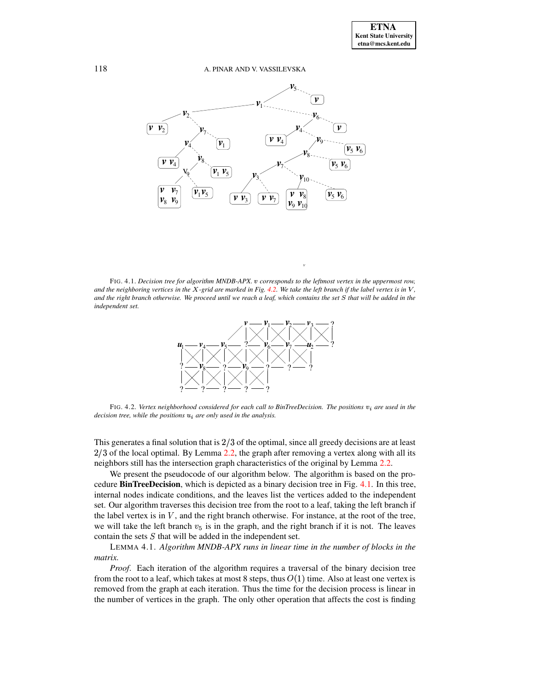

<span id="page-11-1"></span>FIG. 4.1. *Decision tree for algorithm MNDB-APX.* <sup>ê</sup> *corresponds to the leftmost vertex in the uppermost row,* and the neighboring vertices in the X-grid are marked in Fig. [4.2.](#page-11-0) We take the left branch if the label vertex is in  $V$ , and the right branch otherwise. We proceed until we reach a leaf, which contains the set S that will be added in the *independent set.*

*v*



<span id="page-11-0"></span>FIG. 4.2. *Vertex neighborhood considered for each call to BinTreeDecision. The positions*  $v_i$  are used in the *decision tree, while the positions*  $u_i$  *are only used in the analysis.* 

This generates a final solution that is  $2/3$  of the optimal, since all greedy decisions are at least  $2/3$  of the local optimal. By Lemma [2.2,](#page-4-3) the graph after removing a vertex along with all its neighbors still has the intersection graph characteristics of the original by Lemma [2.2.](#page-4-3)

We present the pseudocode of our algorithm below. The algorithm is based on the procedure **BinTreeDecision**, which is depicted as a binary decision tree in Fig. [4.1.](#page-11-1) In this tree, internal nodes indicate conditions, and the leaves list the vertices added to the independent set. Our algorithm traverses this decision tree from the root to a leaf, taking the left branch if the label vertex is in  $V$ , and the right branch otherwise. For instance, at the root of the tree, we will take the left branch  $v_5$  is in the graph, and the right branch if it is not. The leaves contain the sets  $S$  that will be added in the independent set.

<span id="page-11-2"></span>LEMMA 4.1. *Algorithm MNDB-APX runs in linear time in the number of blocks in the matrix.*

*Proof*. Each iteration of the algorithm requires a traversal of the binary decision tree from the root to a leaf, which takes at most 8 steps, thus  $O(1)$  time. Also at least one vertex is removed from the graph at each iteration. Thus the time for the decision process is linear in the number of vertices in the graph. The only other operation that affects the cost is finding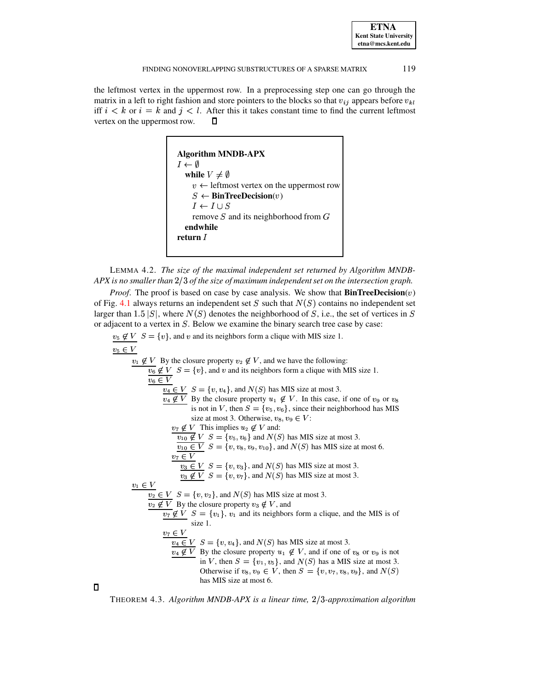the leftmost vertex in the uppermost row. In a preprocessing step one can go through the matrix in a left to right fashion and store pointers to the blocks so that  $v_{ij}$  appears before  $v_{kl}$ iff  $i < k$  or  $i = k$  and  $j < l$ . After this it takes constant time to find the current leftmost vertex on the uppermost row.  $\Box$ 



<span id="page-12-0"></span>LEMMA 4.2. *The size of the maximal independent set returned by Algorithm MNDB-APX is no smaller than* (u<> *of the size of maximum independentset on the intersection graph.*

*Proof.* The proof is based on case by case analysis. We show that  $BinTreeDecision(v)$ of Fig. [4.1](#page-11-1) always returns an independent set S such that  $N(S)$  contains no independent set larger than 1.5  $|S|$ , where  $N(S)$  denotes the neighborhood of S, i.e., the set of vertices in S or adjacent to a vertex in  $S$ . Below we examine the binary search tree case by case:

 $v_5 \notin V$   $S = \{v\}$ , and  $v$  and its neighbors form a clique with MIS size 1. ôiõ ÷ø  $v_1 \notin V$  By the closure property  $v_2 \notin V$ , and we have the following:  $v_6 \notin V$   $S = \{v\}$ , and  $v$  and its neighbors form a clique with MIS size 1. ô©ÿ ÷ø  $v_4 \in V$   $S = \{v, v_4\}$ , and  $N(S)$  has MIS size at most 3.  $v_4 \notin V$  By the closure property  $u_1 \notin V$ . In this case, if one of  $v_9$  or  $v_8$ is not in V, then  $S = \{v_5, v_6\}$ , since their neighborhood has MIS size at most 3. Otherwise,  $v_8, v_9 \in V$ :  $v_7 \notin V$  This implies  $u_2 \notin V$  and:  $v_{10} \notin V$   $S = \{v_5, v_6\}$  and  $N(S)$  has MIS size at most 3.  $v_{10} \in V$   $S = \{v, v_8, v_9, v_{10}\}$ , and  $N(S)$  has MIS size at most 6.  $v_7 \in V$  $v_3 \in V$   $S = \{v, v_3\}$ , and  $N(S)$  has MIS size at most 3.  $v_3 \notin V$   $S = \{v, v_7\}$ , and  $N(S)$  has MIS size at most 3. ôUý ÷ø  $v_2 \in V$   $S = \{v, v_2\}$ , and  $N(S)$  has MIS size at most 3.  $v_2 \notin V$  By the closure property  $v_3 \notin V$ , and  $v_7 \notin V$   $S = \{v_1\}$ ,  $v_1$  and its neighbors form a clique, and the MIS is of size 1.  $v_7 \in V$  $v_4 \in V$   $S = \{v, v_4\}$ , and  $N(S)$  has MIS size at most 3.  $v_4 \notin V$  By the closure property  $u_1 \notin V$ , and if one of  $v_8$  or  $v_9$  is not in V, then  $S = \{v_1, v_5\}$ , and  $N(S)$  has a MIS size at most 3. Otherwise if  $v_8, v_9 \in V$ , then  $S = \{v, v_7, v_8, v_9\}$ , and  $N(S)$ has MIS size at most 6.

 $\Box$ 

THEOREM 4.3. *Algorithm MNDB-APX is a linear time, 2/3-approximation algorithm*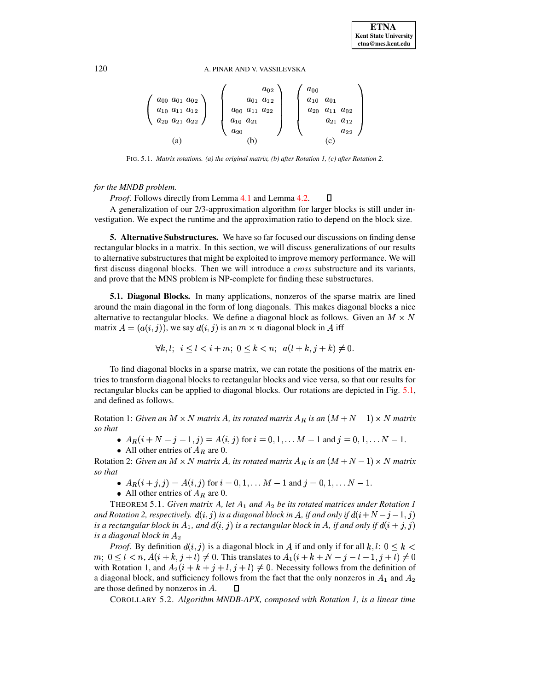#### 120 A. PINAR AND V. VASSILEVSKA

$$
\left(\begin{array}{c} a_{00} & a_{01} & a_{02} \\ a_{10} & a_{11} & a_{12} \\ a_{20} & a_{21} & a_{22} \end{array}\right) \quad \left(\begin{array}{c} a_{02} \\ a_{01} & a_{12} \\ a_{00} & a_{11} & a_{22} \\ a_{10} & a_{21} \\ a_{20} \end{array}\right) \quad \left(\begin{array}{c} a_{00} \\ a_{10} & a_{01} \\ a_{20} & a_{11} & a_{02} \\ a_{21} & a_{12} \\ a_{22} \end{array}\right)
$$

$$
(a) \quad (b) \quad (c)
$$

FIG. 5.1. *Matrix rotations. (a) the original matrix, (b) after Rotation 1, (c) after Rotation 2.*

## <span id="page-13-1"></span>*for the MNDB problem.*

*Proof*. Follows directly from Lemma [4.1](#page-11-2) and Lemma [4.2.](#page-12-0)  $\Box$ 

A generalization of our 2/3-approximation algorithm for larger blocks is still under investigation. We expect the runtime and the approximation ratio to depend on the block size.

<span id="page-13-0"></span>**5. Alternative Substructures.** We have so far focused our discussions on finding dense rectangular blocks in a matrix. In this section, we will discuss generalizations of our results to alternative substructures that might be exploited to improve memory performance. We will first discuss diagonal blocks. Then we will introduce a *cross* substructure and its variants, and prove that the MNS problem is NP-complete for finding these substructures.

**5.1. Diagonal Blocks.** In many applications, nonzeros of the sparse matrix are lined around the main diagonal in the form of long diagonals. This makes diagonal blocks a nice alternative to rectangular blocks. We define a diagonal block as follows. Given an  $M \times N$ matrix  $A = (a(i, j))$ , we say  $d(i, j)$  is an  $m \times n$  diagonal block in A iff

$$
\forall k, l; i \le l < i + m; 0 \le k < n; a(l + k, j + k) \ne 0.
$$

To find diagonal blocks in a sparse matrix, we can rotate the positions of the matrix entries to transform diagonal blocks to rectangular blocks and vice versa, so that our results for rectangular blocks can be applied to diagonal blocks. Our rotations are depicted in Fig. [5.1,](#page-13-1) and defined as follows.

Rotation 1: *Given an M*  $\times$  *N matrix A, its rotated matrix*  $A_R$  *is an*  $(M+N-1)\times N$  *matrix so that*¦

- $A_R(i+N-j-1, j) = A(i, j)$  for  $i = 0, 1, ...M-1$  and  $j = 0, 1, ...N-1$ .
- All other entries of  $A_R$  are 0.

Rotation 2: *Given an M*  $\times$  *N matrix A, its rotated matrix*  $A_R$  *is an*  $(M+N-1)\times N$  *matrix so that*¦

- $A_R(i + j, j) = A(i, j)$  for  $i = 0, 1, \dots M 1$  and  $j = 0, 1, \dots N 1$ .
- All other entries of  $A_R$  are 0.

THEOREM 5.1. *Given matrix A, let*  $A_1$  and  $A_2$  be its rotated matrices under Rotation 1 and Rotation 2, respectively.  $d(i, j)$  is a diagonal block in A, if and only if  $d(i + N - j - 1, j)$ is a rectangular block in  $A_1$ , and  $d(i, j)$  is a rectangular block in  $A$ , if and only if  $d(i + j, j)$ *is a diagonal block in*

*Proof.* By definition  $d(i, j)$  is a diagonal block in A if and only if for all  $k, l: 0 \leq k$  $m;~0\leq l < n,$   $A(i+k, j+l)\neq 0$ . This translates to  $A_1(i+k+N-j-l-1, j+l)\neq 0$ with Rotation 1, and  $A_2(i + k + j + l, j + l) \neq 0$ . Necessity follows from the definition of a diagonal block, and sufficiency follows from the fact that the only nonzeros in  $A_1$  and  $A_2$ are those defined by nonzeros in  $A$ .  $\Box$ 

COROLLARY 5.2. *Algorithm MNDB-APX, composed with Rotation 1, is a linear time*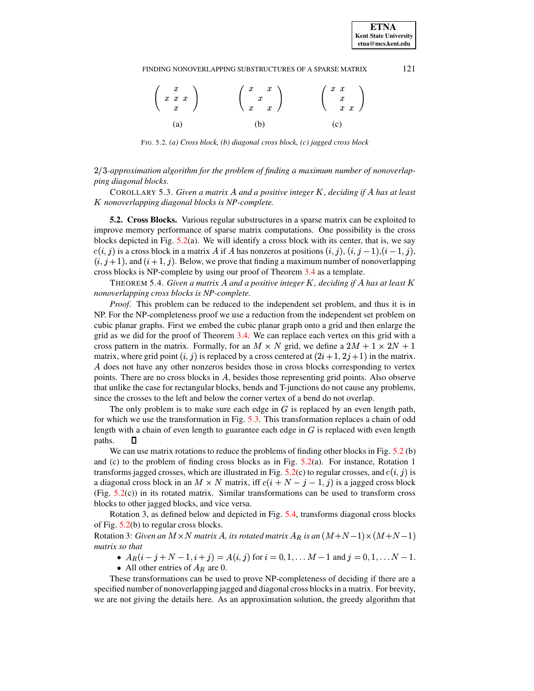#### FINDING NONOVERLAPPING SUBSTRUCTURES OF A SPARSE MATRIX 121

| $\left(\begin{array}{c} x \\ x \ x \end{array}\right)$ | $\left(\begin{array}{cc} x & x \\ x & x \end{array}\right)$ | $\left(\begin{array}{c} x & x \\ x \\ x & x \end{array}\right)$ |  |
|--------------------------------------------------------|-------------------------------------------------------------|-----------------------------------------------------------------|--|
| (a)                                                    | (b)                                                         | (c)                                                             |  |

FIG. 5.2. *(a) Cross block, (b) diagonal cross block, (c) jagged cross block*

## <span id="page-14-0"></span>(u<>*-approximation algorithm for the problem of finding a maximum number of nonoverlapping diagonal blocks.*

COROLLARY 5.3. *Given a matrix A and a positive integer K, deciding if A has at least nonoverlapping diagonal blocks is NP-complete.*

**5.2. Cross Blocks.** Various regular substructures in a sparse matrix can be exploited to improve memory performance of sparse matrix computations. One possibility is the cross blocks depicted in Fig.  $5.2(a)$  $5.2(a)$ . We will identify a cross block with its center, that is, we say  $c(i, j)$  is a cross block in a matrix A if A has nonzeros at positions  $(i, j)$ ,  $(i, j - 1)$ ,  $(i - 1, j)$ ,  $(i, j + 1)$ , and  $(i + 1, j)$ . Below, we prove that finding a maximum number of nonoverlapping cross blocks is NP-complete by using our proof of Theorem [3.4](#page-6-1) as a template.

THEOREM 5.4. *Given a matrix A and a positive integer K , deciding if A has at least K nonoverlapping cross blocks is NP-complete.*

*Proof*. This problem can be reduced to the independent set problem, and thus it is in NP. For the NP-completeness proof we use a reduction from the independent set problem on cubic planar graphs. First we embed the cubic planar graph onto a grid and then enlarge the grid as we did for the proof of Theorem [3.4.](#page-6-1) We can replace each vertex on this grid with a cross pattern in the matrix. Formally, for an  $M \times N$  grid, we define a  $2M + 1 \times 2N + 1$ matrix, where grid point  $(i, j)$  is replaced by a cross centered at  $(2i + 1, 2j + 1)$  in the matrix. A does not have any other nonzeros besides those in cross blocks corresponding to vertex points. There are no cross blocks in A, besides those representing grid points. Also observe that unlike the case for rectangular blocks, bends and T-junctions do not cause any problems, since the crosses to the left and below the corner vertex of a bend do not overlap.

The only problem is to make sure each edge in  $G$  is replaced by an even length path, for which we use the transformation in Fig. [5.3.](#page-15-1) This transformation replaces a chain of odd length with a chain of even length to guarantee each edge in  $G$  is replaced with even length paths.  $\Box$ 

We can use matrix rotations to reduce the problems of finding other blocks in Fig. [5.2](#page-14-0) (b) and (c) to the problem of finding cross blocks as in Fig. [5.2\(](#page-14-0)a). For instance, Rotation 1 transforms jagged crosses, which are illustrated in Fig. [5.2\(](#page-14-0)c) to regular crosses, and  $c(i, j)$  is a diagonal cross block in an  $M \times N$  matrix, iff  $c(i+N-j-1,j)$  is a jagged cross block (Fig. [5.2\(](#page-14-0)c)) in its rotated matrix. Similar transformations can be used to transform cross blocks to other jagged blocks, and vice versa.

Rotation 3, as defined below and depicted in Fig. [5.4,](#page-15-2) transforms diagonal cross blocks of Fig. [5.2\(](#page-14-0)b) to regular cross blocks.

Rotation 3: *Given an*  $M \times N$  *matrix A, its rotated matrix*  $A_R$  *is an*  $(M+N-1) \times (M+N-1)$  $matrix so that$ 

- $A_R(i-j+N-1,i+j) = A(i,j)$  for  $i = 0,1,...,M-1$  and  $j = 0,1,...,N-1$ .
- All other entries of  $A_R$  are 0.

These transformations can be used to prove NP-completeness of deciding if there are a specified number of nonoverlapping jagged and diagonal cross blocks in a matrix. For brevity, we are not giving the details here. As an approximation solution, the greedy algorithm that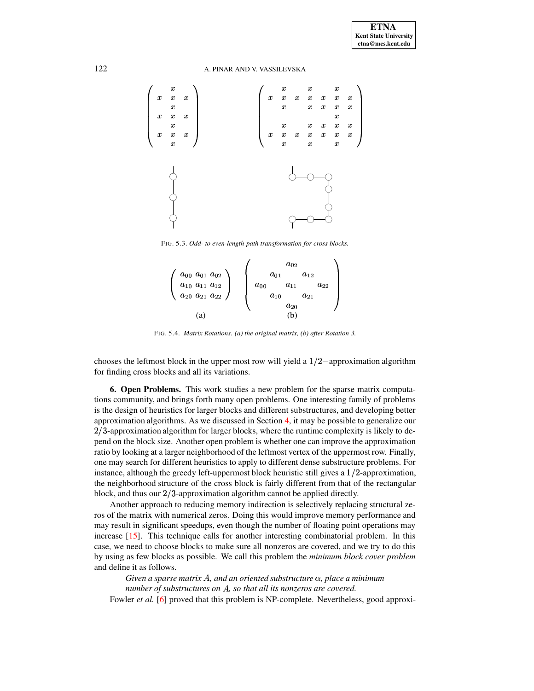

<span id="page-15-1"></span>FIG. 5.3. *Odd- to even-length path transformation for cross blocks.*

|                            | $a_{02}$                         |
|----------------------------|----------------------------------|
| $a_{00}$ $a_{01}$ $a_{02}$ | $a_{01}$<br>$a_{12}$             |
| $a_{10}$ $a_{11}$ $a_{12}$ | $a_{00}$<br>$a_{11}$<br>$a_{22}$ |
| $a_{20}$ $a_{21}$ $a_{22}$ | $a_{10}$<br>$a_{21}$             |
|                            | $a_{20}$                         |
| a                          | b                                |

FIG. 5.4. *Matrix Rotations. (a) the original matrix, (b) after Rotation 3.*

<span id="page-15-2"></span>chooses the leftmost block in the upper most row will yield a  $1/2$ -approximation algorithm for finding cross blocks and all its variations.

<span id="page-15-0"></span>**6. Open Problems.** This work studies a new problem for the sparse matrix computations community, and brings forth many open problems. One interesting family of problems is the design of heuristics for larger blocks and different substructures, and developing better approximation algorithms. As we discussed in Section [4,](#page-8-0) it may be possible to generalize our  $2/3$ -approximation algorithm for larger blocks, where the runtime complexity is likely to depend on the block size. Another open problem is whether one can improve the approximation ratio by looking at a larger neighborhood of the leftmost vertex of the uppermost row. Finally, one may search for different heuristics to apply to different dense substructure problems. For instance, although the greedy left-uppermost block heuristic still gives a  $1/2$ -approximation, the neighborhood structure of the cross block is fairly different from that of the rectangular block, and thus our  $2/3$ -approximation algorithm cannot be applied directly.

Another approach to reducing memory indirection is selectively replacing structural zeros of the matrix with numerical zeros. Doing this would improve memory performance and may result in significant speedups, even though the number of floating point operations may increase [\[15\]](#page-17-2). This technique calls for another interesting combinatorial problem. In this case, we need to choose blocks to make sure all nonzeros are covered, and we try to do this by using as few blocks as possible. We call this problem the *minimum block cover problem* and define it as follows.

 $G$ iven a sparse matrix  $A$ , and an oriented substructure  $\alpha$ , place a minimum *number of substructures on , so that all its nonzeros are covered.*

Fowler *et al.* [\[6\]](#page-16-3) proved that this problem is NP-complete. Nevertheless, good approxi-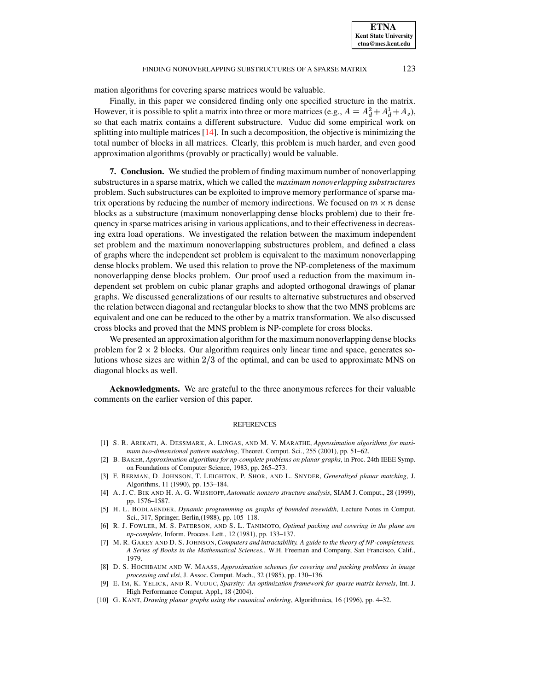mation algorithms for covering sparse matrices would be valuable.

Finally, in this paper we considered finding only one specified structure in the matrix. However, it is possible to split a matrix into three or more matrices (e.g.,  $A = A_d^2 + A_d^1 + A_s$ ), so that each matrix contains a different substructure. Vuduc did some empirical work on splitting into multiple matrices [\[14\]](#page-17-4). In such a decomposition, the objective is minimizing the total number of blocks in all matrices. Clearly, this problem is much harder, and even good approximation algorithms (provably or practically) would be valuable.

<span id="page-16-2"></span>**7. Conclusion.** We studied the problem of finding maximum number of nonoverlapping substructures in a sparse matrix, which we called the *maximum nonoverlapping substructures* problem. Such substructures can be exploited to improve memory performance of sparse matrix operations by reducing the number of memory indirections. We focused on  $m \times n$  dense blocks as a substructure (maximum nonoverlapping dense blocks problem) due to their frequency in sparse matrices arising in various applications, and to their effectivenessin decreasing extra load operations. We investigated the relation between the maximum independent set problem and the maximum nonoverlapping substructures problem, and defined a class of graphs where the independent set problem is equivalent to the maximum nonoverlapping dense blocks problem. We used this relation to prove the NP-completeness of the maximum nonoverlapping dense blocks problem. Our proof used a reduction from the maximum independent set problem on cubic planar graphs and adopted orthogonal drawings of planar graphs. We discussed generalizations of our results to alternative substructures and observed the relation between diagonal and rectangular blocks to show that the two MNS problems are equivalent and one can be reduced to the other by a matrix transformation. We also discussed cross blocks and proved that the MNS problem is NP-complete for cross blocks.

We presented an approximation algorithm for the maximum nonoverlapping dense blocks problem for  $2 \times 2$  blocks. Our algorithm requires only linear time and space, generates solutions whose sizes are within  $2/3$  of the optimal, and can be used to approximate MNS on diagonal blocks as well.

**Acknowledgments.** We are grateful to the three anonymous referees for their valuable comments on the earlier version of this paper.

#### **REFERENCES**

- <span id="page-16-7"></span><span id="page-16-5"></span>[1] S. R. ARIKATI, A. DESSMARK, A. LINGAS, AND M. V. MARATHE, *Approximation algorithms for maximum two-dimensional pattern matching*, Theoret. Comput. Sci., 255 (2001), pp. 51–62.
- [2] B. BAKER, *Approximation algorithms for np-complete problems on planar graphs*, in Proc. 24th IEEE Symp. on Foundations of Computer Science, 1983, pp. 265–273.
- <span id="page-16-4"></span>[3] F. BERMAN, D. JOHNSON, T. LEIGHTON, P. SHOR, AND L. SNYDER, *Generalized planar matching*, J. Algorithms, 11 (1990), pp. 153–184.
- <span id="page-16-1"></span>[4] A. J. C. BIK AND H. A. G. WIJSHOFF, *Automatic nonzero structure analysis*, SIAM J. Comput., 28 (1999), pp. 1576–1587.
- <span id="page-16-10"></span>[5] H. L. BODLAENDER, *Dynamic programming on graphs of bounded treewidth*, Lecture Notes in Comput. Sci., 317, Springer, Berlin,(1988), pp. 105–118.
- <span id="page-16-3"></span>[6] R. J. FOWLER, M. S. PATERSON, AND S. L. TANIMOTO, *Optimal packing and covering in the plane are np-complete*, Inform. Process. Lett., 12 (1981), pp. 133–137.
- <span id="page-16-9"></span>[7] M. R. GAREY AND D. S. JOHNSON,*Computers and intractability. A guide to the theory of NP-completeness. A Series of Books in the Mathematical Sciences.*, W.H. Freeman and Company, San Francisco, Calif., 1979.
- <span id="page-16-6"></span>[8] D. S. HOCHBAUM AND W. MAASS, *Approximation schemes for covering and packing problems in image processing and vlsi*, J. Assoc. Comput. Mach., 32 (1985), pp. 130–136.
- <span id="page-16-0"></span>[9] E. IM, K. YELICK, AND R. VUDUC, *Sparsity: An optimization framework for sparse matrix kernels*, Int. J. High Performance Comput. Appl., 18 (2004).
- <span id="page-16-8"></span>[10] G. KANT, *Drawing planar graphs using the canonical ordering*, Algorithmica, 16 (1996), pp. 4–32.